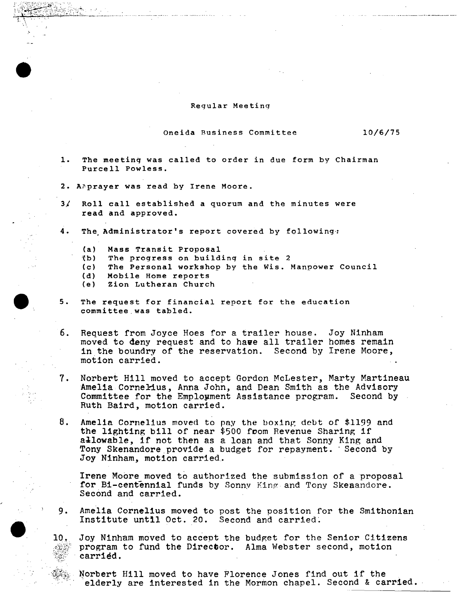## **Regular Meeting**

**Oneida Business Committee 10/6/75** 

- **1. The meeting was called to order in due form by Chairman Purcell Powless.**
- **2. A?prayer was read by Irene Moore.**
- **3/ Roll call established a quorum and the minutes were read and approved.**
- **4. The. Administrator ' s report covered by following :** 
	- **(a) Mass Transit Proposal**
	- **(b) The progress on building in site 2**
	- (c) The Personal workshop by the Wis. Manpower Council
	- **(d) Mobile Home reports**
	- **(e) Zion Lutheran Church**
- **5. The request for financial report for the education committee was tabled.**
- **6. Request from Joyce Hoes for a trailer house. Joy Ninham moved to deny request and to have all trailer homes remain in the boundry of the reservation. Second by Irene Moore, motion carried.**
- **7. Norbert Hill moved to accept Gordon McLester, Marty Martineau**  Amelia Cornelius, Anna John, and Dean Smith as the Advisory **Committee for the Employment Assistance program. Second by Ruth Baird, motion carried.**
- **8. Amelia Cornelius moved to pay the boxing debt of \$1199 and the lighting bill of near \$500 from Revenue Sharing if allowable, if not then as a loan and that Sonny King and**  Tony Skenandore provide a budget for repayment. Second by **Joy Ninham, motion carried.**

**Irene Moore\_moved to authorized the submission of a proposal for Bi-centennial funds by Sonny** King-**and Tony Skeaandore. Second and carried.** 

**9. Amelia Cornelius moved to post the position for the Smithonian Institute until Oct. 20. Second and carried.** 

**10, Joy Ninham moved to accept the budget for the Senior Citizens program to fund the Director. Alma Webster second, motion carried.** 

**Norbert Hill moved to have Florence Jones find out if the elderly are interested in the Mormon chapel. Second & carried.**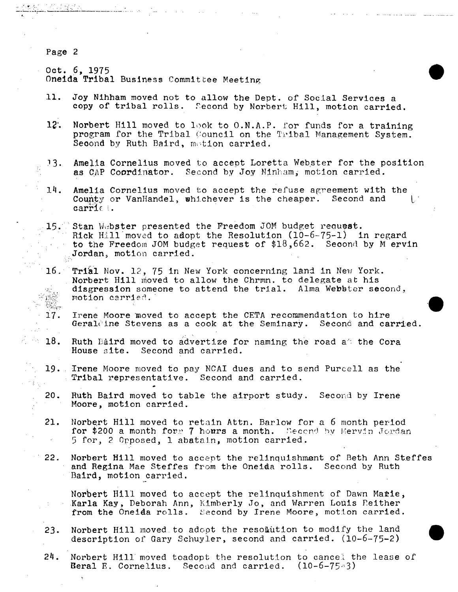Page 2

Oct. 6, 1975 Oneida Tribal Business Committee Meeting

- **11. Joy Nihham moved not to allow the Dept. of Social Services a copy of tribal rolls. Second by Norbert Hill, motion carried.**
- **12'. Norbert Hill moved to look to O.N.A.P. for funds for a training program for the Tribal Council on the Tribal Management System.**  Seoond by Ruth Baird, mation carried.
- **13. Amelia Cornelius moved to accept Loretta Webster for the position**  as CAP Coordinator. Second by Joy Minham, motion carried.
- **l'J. Amelia Cornelius moved to accept the refuse agreement with the**  County or VanHandel, whichever is the cheaper. Second and **carric** 1.
- **15. Stan Webster presented the Freedom JOM budget request. Rick Hlll'moved to adopt the Resolution (10-6-75-1) in regard to the Freedom JOM budget request of \$18,662. Seoond by M ervin Jordan, motion carried.**
- **16. Trial Nov. 12, 75 in New York concerning land in New York. Norbert Hill moved to allow the Chrmn. to delegate at his disgression someone to attend the trial. Alma Webbter second,**   $\mathcal{G}^{(1)}$  $\approx 15\%$ **notion carried.**  稀罕。
	- **17. Irene Moore moved to accept the CETA recommendation to hire Geraldine Stevens as a cook at the Seminary. Second and carried.**
- Ay I 18. Ruth Eaird moved to advertize for naming the road at the Cora **House site. Second and carried.** 
	- **19. Irene Moore moved to pay NCAI dues and to send Purcell as the Tribal representative. Second and carried.**
	- **20. Ruth Baird moved to table the airport study. Second by Irene Moore, motion carried.**
	- **21. Norbert Hill moved to retain Attn. Barlow for a 6 month period**  for \$200 a month for<sub>n</sub> 7 hours a month. Second by Mervin Jordan **5 for, 2 Opposed, 1 abatain, motion carried.**
	- **22. Norbert Hill moved to accept the relinquishment of Reth Ann Steffes and Regina Mae Steffes from the Oneida rolls. Second by Ruth Baird, motion carried.**

**Norbert Hill moved to accept the relinquishment of Dawn Marie, Karla Kay, Deborah Ann, Kimberly Jo, and Warren Louis Reither**  from the Oneida rolls. Second by Irene Moore, motion carried.

- **23. Norbert Hill moved to adopt the resolution to modify the land description of Gary Schuyler, second and carried. (10-6-75-2)**
- **24. Norbert Hill moved to adopt the resolution to cancel the lease of Beral E. Cornelius. Second and carried. (10-6-75-3)**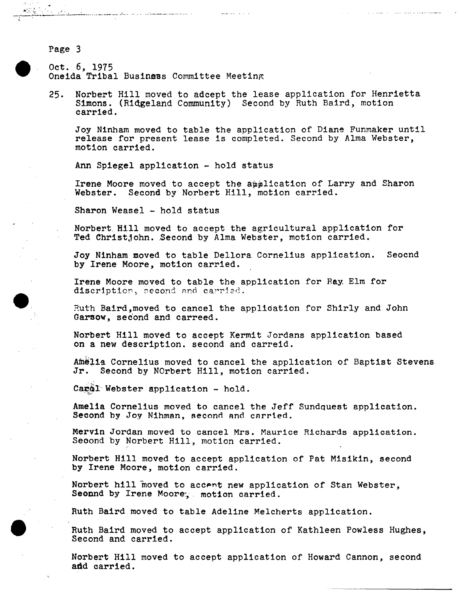Page 3

Oct. 6, 1975 Oneida Tribal Business Committee Meeting/

المرابيب وتفسير فسيملأ فالمرابط المنافر ليبير

**25. Norbert Hill moved to adcept the lease application for Henrietta Simons. (Ridgeland Community) Second by Ruth Baird, motion carried.** 

**Joy Ninham moved to table the application of Diane Funmaker until release for present lease is completed. Second by Alma Webster, motion carried.** 

**Ann Spiegel application - hold status** 

**Irene Moore moved to accept the application of Larry and Sharon Webster. Second by Norbert Hill, motion carried.** 

**Sharon Weasel - hold status** 

**Norbert. Hill moved to accept the agricultural application for Ted Christjohn. Second by Alma Webster, motion carried.** 

**Joy Ninham moved to table Dellora Cornelius application. Seocnd by Irene Moore, motion carried.** 

**Irene Moore moved to table the application for Ray Elm for**  discription, second and carried.

Ruth Baird, moved to cancel the application for Shirly and John **Garsow, second and carreed.** 

**Norbert Hill moved to accept Kermit Jordans application based**  on a new description. second and carreid.

**Amelia Cornelius moved to cancel the application of Baptist Stevens Jr. Second by NOrbert Hill, motion carried.** 

Carol Webster application - hold.

**Amelia Cornelius moved to cancel the Jeff Sundquest application. Second by Joy Ninhan, second and carried.** 

**Mervln Jordan moved to cancel Mrs. Maurice Richards application. Seoond by Norbert Hill, motion carried.** 

**Norbert Hill moved to accept application of Pat Misikin, second by Irene Moore, motion carried.** 

**Norbert hill moved to accept new application of Stan Webster, Seonnd by Irene Moore:, motion carried.** 

**Ruth Baird moved to table Adeline Melcherts application.** 

**Ruth Baird moved to accept application of Kathleen Powless Hughes, Second and carried.** 

**Norbert Hill moved to accept application of Howard Cannon, second add carried.**